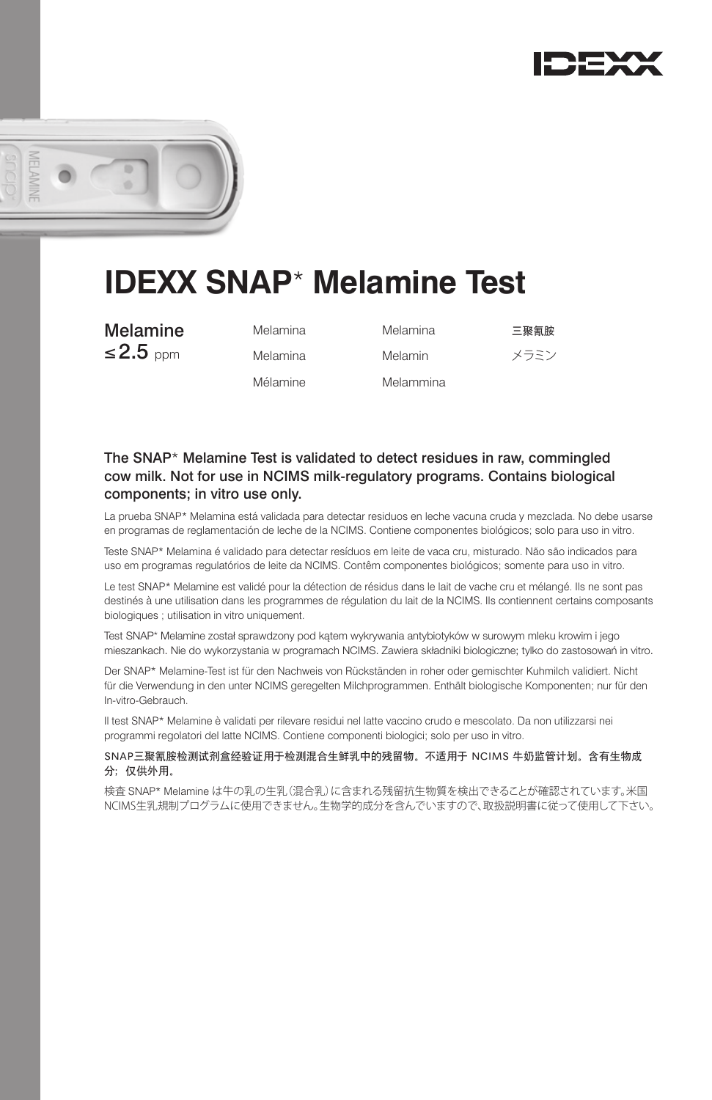



# **IDEXX SNAP**\* **Melamine Test**

**Melamine** Melamina Melamina 三聚氰胺  $\leq$ 2.5 ppm Melamina Melamin  $\times$ ラミン

| Melamina |  |
|----------|--|
| Melamina |  |
| Mélamine |  |

Melammina

## The SNAP\* Melamine Test is validated to detect residues in raw, commingled cow milk. Not for use in NCIMS milk-regulatory programs. Contains biological components; in vitro use only.

La prueba SNAP\* Melamina está validada para detectar residuos en leche vacuna cruda y mezclada. No debe usarse en programas de reglamentación de leche de la NCIMS. Contiene componentes biológicos; solo para uso in vitro.

Teste SNAP\* Melamina é validado para detectar resíduos em leite de vaca cru, misturado. Não são indicados para uso em programas regulatórios de leite da NCIMS. Contêm componentes biológicos; somente para uso in vitro.

Le test SNAP\* Melamine est validé pour la détection de résidus dans le lait de vache cru et mélangé. Ils ne sont pas destinés à une utilisation dans les programmes de régulation du lait de la NCIMS. Ils contiennent certains composants biologiques ; utilisation in vitro uniquement.

Test SNAP\* Melamine został sprawdzony pod kątem wykrywania antybiotyków w surowym mleku krowim i jego mieszankach. Nie do wykorzystania w programach NCIMS. Zawiera składniki biologiczne; tylko do zastosowań in vitro.

Der SNAP\* Melamine-Test ist für den Nachweis von Rückständen in roher oder gemischter Kuhmilch validiert. Nicht für die Verwendung in den unter NCIMS geregelten Milchprogrammen. Enthält biologische Komponenten; nur für den In-vitro-Gebrauch.

Il test SNAP\* Melamine è validati per rilevare residui nel latte vaccino crudo e mescolato. Da non utilizzarsi nei programmi regolatori del latte NCIMS. Contiene componenti biologici; solo per uso in vitro.

#### SNAP三聚氰胺检测试剂盒经验证用于检测混合生鲜乳中的残留物。不适用于 NCIMS 牛奶监管计划。含有生物成 分;仅供外用。

検査 SNAP\* Melamine は牛の乳の生乳(混合乳)に含まれる残留抗生物質を検出できることが確認されています。米国 NCIMS生乳規制プログラムに使用できません。生物学的成分を含んでいますので、取扱説明書に従って使用して下さい。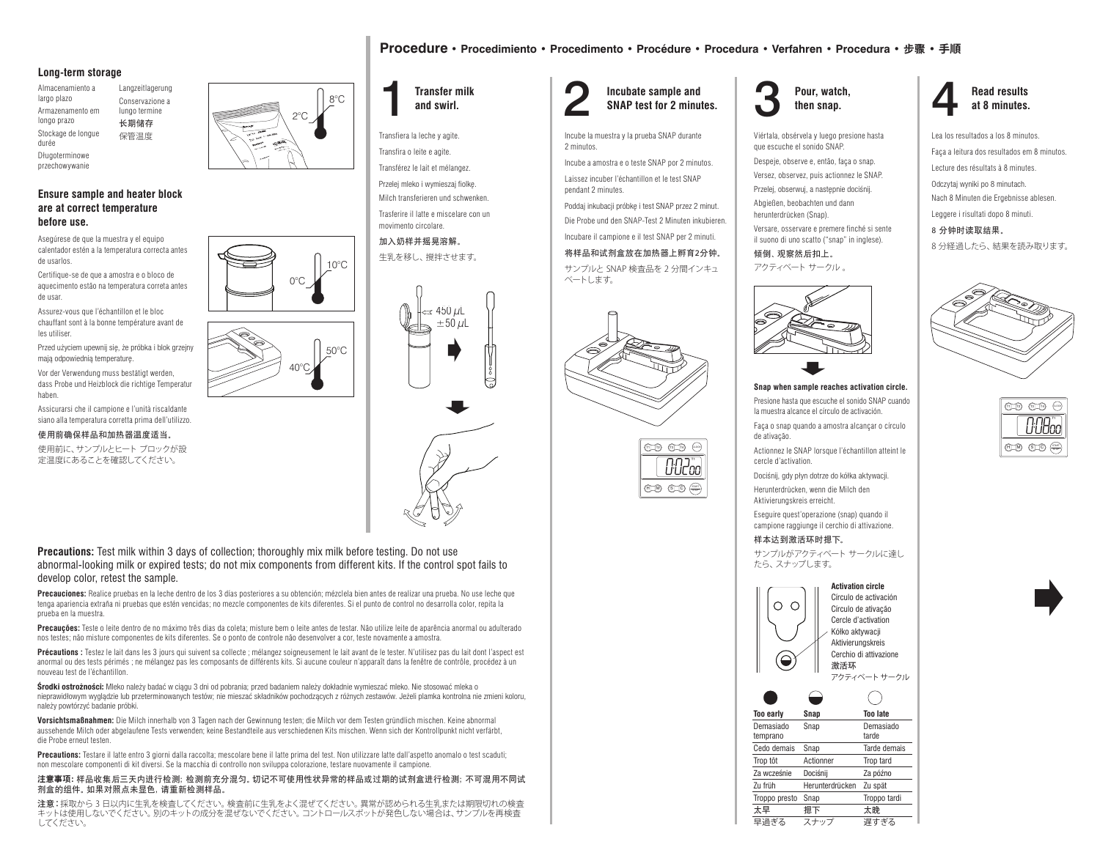#### **Long-term storage**

Almacenamiento a largo plazo Armazenamento em longo prazo Stockage de longue durée Langzeitlagerung Conservazione a lungo termine 长期储存 保管温度

Długoterminowe przechowywanie

## **Ensure sample and heater block are at correct temperature before use.**

Asegúrese de que la muestra y el equipo calentador estén a la temperatura correcta antes de usarlos.

Certifique-se de que a amostra e o bloco de aquecimento estão na temperatura correta antes de usar.

Assurez-vous que l'échantillon et le bloc chauffant sont à la bonne température avant de les utiliser.

Przed użyciem upewnij się, że próbka i blok grzejny mają odpowiednią temperaturę. Vor der Verwendung muss bestätigt werden, dass Probe und Heizblock die richtige Temperatur haben.

Assicurarsi che il campione e l'unità riscaldante siano alla temperatura corretta prima dell'utilizzo.

使用前确保样品和加热器温度适当。

使用前に、サンプルとヒート ブロックが設 定温度にあることを確認してください。





Transfiera la leche y agite. Transfira o leite e agite.

Transférez le lait et mélangez. Przelej mleko i wymieszaj fiolkę. Milch transferieren und schwenken. Trasferire il latte e miscelare con un movimento circolare.

加入奶样并摇晃溶解。 生乳を移し、撹拌させます。



Transfer milk and swirl. **2** Incubate sample and SNAP test for 2 minutes. 3 Pour, watch, **Incubate sample and SNAP test for 2 minutes.**

Incube la muestra y la prueba SNAP durante 2 minutos.

**Procedure • Procedimiento • Procedimento • Procédure • Procedura • Verfahren • Procedura •** 步骤 **• 手順**

Incube a amostra e o teste SNAP por 2 minutos. Laissez incuber l'échantillon et le test SNAP

pendant 2 minutes. Poddaj inkubacji próbkę i test SNAP przez 2 minut.

Die Probe und den SNAP-Test 2 Minuten inkubieren.

Incubare il campione e il test SNAP per 2 minuti.

## 将样品和试剂盒放在加热器上孵育2分钟。

サンプルと SNAP 検査品を 2 分間インキュ ベートします。







Viértala, obsérvela y luego presione hasta que escuche el sonido SNAP.

Despeje, observe e, então, faça o snap. Versez, observez, puis actionnez le SNAP. Przelej, obserwuj, a następnie dociśnij.

Abgießen, beobachten und dann herunterdrücken (Snap).

Versare, osservare e premere finché si sente il suono di uno scatto ("snap" in inglese).

倾倒、观察然后扣上。 アクティベート サークル 。



### **Snap when sample reaches activation circle.**

Presione hasta que escuche el sonido SNAP cuando la muestra alcance el círculo de activación.

Faça o snap quando a amostra alcançar o círculo de ativação.

T1 T2 T3 CLOCK H S M C Actionnez le SNAP lorsque l'échantillon atteint le cercle d'activation.

> Dociśnij, gdy płyn dotrze do kółka aktywacji. Herunterdrücken, wenn die Milch den

Aktivierungskreis erreicht. Eseguire quest'operazione (snap) quando il

campione raggiunge il cerchio di attivazione. 样本达到激活环时摁下。

サンプルがアクティベート サークルに達し たら、スナップします。





**Read results** 

Faça a leitura dos resultados em 8 minutos. Lecture des résultats à 8 minutes. Odczytaj wyniki po 8 minutach. Nach 8 Minuten die Ergebnisse ablesen. Leggere i risultati dopo 8 minuti.

8 分钟时读取结果。 8 分経過したら、結果を読み取ります。





**Precautions:** Test milk within 3 days of collection; thoroughly mix milk before testing. Do not use abnormal-looking milk or expired tests; do not mix components from different kits. If the control spot fails to develop color, retest the sample.

**Precauciones:** Realice pruebas en la leche dentro de los 3 días posteriores a su obtención; mézclela bien antes de realizar una prueba. No use leche que tenga apariencia extraña ni pruebas que estén vencidas; no mezcle componentes de kits diferentes. Si el punto de control no desarrolla color, repita la prueba en la muestra.

40°C

0°C

50°C

 $10^{\circ}$ C

**Precauções:** Teste o leite dentro de no máximo três dias da coleta; misture bem o leite antes de testar. Não utilize leite de aparência anormal ou adulterado nos testes; não misture componentes de kits diferentes. Se o ponto de controle não desenvolver a cor, teste novamente a amostra.

Précautions : Testez le lait dans les 3 jours qui suivent sa collecte ; mélangez soigneusement le lait avant de le tester. N'utilisez pas du lait dont l'aspect est anormal ou des tests périmés ; ne mélangez pas les composants de différents kits. Si aucune couleur n'apparaît dans la fenêtre de contrôle, procédez à un nouveau test de l'échantillon.

środki ostrożności: Mleko należy badać w ciągu 3 dni od pobrania; przed badaniem należy dokładnie wymieszać mleko. Nie stosować mleka o nieprawidłowym wyglądzie lub przeterminowanych testów; nie mieszać składników pochodzących z różnych zestawów. Jeżeli plamka kontrolna nie zmieni koloru, należy powtórzyć badanie próbki.

**Vorsichtsmaßnahmen:** Die Milch innerhalb von 3 Tagen nach der Gewinnung testen; die Milch vor dem Testen gründlich mischen. Keine abnormal aussehende Milch oder abgelaufene Tests verwenden; keine Bestandteile aus verschiedenen Kits mischen. Wenn sich der Kontrollpunkt nicht verfärbt, die Probe erneut testen.

**Precautions:** Testare il latte entro 3 giorni dalla raccolta; mescolare bene il latte prima del test. Non utilizzare latte dall'aspetto anomalo o test scaduti; non mescolare componenti di kit diversi. Se la macchia di controllo non sviluppa colorazione, testare nuovamente il campione.

#### 注意事项:样品收集后三天内进行检测;检测前充分混匀。切记不可使用性状异常的样品或过期的试剂盒进行检测;不可混用不同试 剂盒的组件。如果对照点未显色,请重新检测样品。

注意:採取から 3 日以内に生乳を検査してください。検査前に生乳をよく混ぜてください。異常が認められる生乳または期限切れの検査 キットは使用しないでください。別のキットの成分を混ぜないでください。コントロールスポットが発色しない場合は、サンプルを再検査 してください。